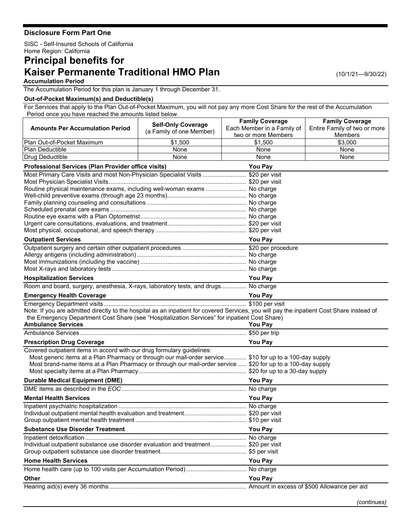## **Disclosure Form Part One**

SISC - Self-Insured Schools of California Home Region: California

## **Principal benefits for Kaiser Permanente Traditional HMO Plan**

(10/1/21—9/30/22)

## **Accumulation Period**

The Accumulation Period for this plan is January 1 through December 31.

## **Out-of-Pocket Maximum(s) and Deductible(s)**

For Services that apply to the Plan Out-of-Pocket Maximum, you will not pay any more Cost Share for the rest of the Accumulation Period once you have reached the amounts listed below.

| <b>Amounts Per Accumulation Period</b>                                                                                                    | <b>Self-Only Coverage</b> | <b>Family Coverage</b><br>Each Member in a Family of | <b>Family Coverage</b><br>Entire Family of two or more |
|-------------------------------------------------------------------------------------------------------------------------------------------|---------------------------|------------------------------------------------------|--------------------------------------------------------|
|                                                                                                                                           | (a Family of one Member)  | two or more Members                                  | <b>Members</b>                                         |
| Plan Out-of-Pocket Maximum                                                                                                                | \$1,500                   | \$1,500                                              | \$3,000                                                |
| <b>Plan Deductible</b>                                                                                                                    | None                      | None                                                 | None                                                   |
| Drug Deductible                                                                                                                           | None                      | None                                                 | None                                                   |
| Professional Services (Plan Provider office visits)                                                                                       | You Pay                   |                                                      |                                                        |
| Most Primary Care Visits and most Non-Physician Specialist Visits  \$20 per visit                                                         |                           |                                                      |                                                        |
|                                                                                                                                           |                           |                                                      |                                                        |
| Routine physical maintenance exams, including well-woman exams  No charge                                                                 |                           |                                                      |                                                        |
|                                                                                                                                           |                           |                                                      |                                                        |
|                                                                                                                                           |                           |                                                      |                                                        |
|                                                                                                                                           |                           |                                                      |                                                        |
|                                                                                                                                           |                           |                                                      |                                                        |
|                                                                                                                                           |                           |                                                      |                                                        |
| <b>Outpatient Services</b>                                                                                                                | <b>You Pay</b>            |                                                      |                                                        |
|                                                                                                                                           |                           |                                                      |                                                        |
|                                                                                                                                           |                           |                                                      |                                                        |
|                                                                                                                                           |                           |                                                      |                                                        |
|                                                                                                                                           |                           |                                                      |                                                        |
| <b>Hospitalization Services</b>                                                                                                           |                           | <b>You Pay</b>                                       |                                                        |
| Room and board, surgery, anesthesia, X-rays, laboratory tests, and drugs No charge                                                        |                           |                                                      |                                                        |
| <b>Emergency Health Coverage</b>                                                                                                          |                           | <b>You Pay</b>                                       |                                                        |
|                                                                                                                                           |                           |                                                      |                                                        |
| Note: If you are admitted directly to the hospital as an inpatient for covered Services, you will pay the inpatient Cost Share instead of |                           |                                                      |                                                        |
| the Emergency Department Cost Share (see "Hospitalization Services" for inpatient Cost Share)<br><b>Ambulance Services</b>                |                           | <b>You Pay</b>                                       |                                                        |
|                                                                                                                                           |                           |                                                      |                                                        |
| <b>Prescription Drug Coverage</b>                                                                                                         |                           | <b>You Pay</b>                                       |                                                        |
| Covered outpatient items in accord with our drug formulary guidelines:                                                                    |                           |                                                      |                                                        |
| Most generic items at a Plan Pharmacy or through our mail-order service \$10 for up to a 100-day supply                                   |                           |                                                      |                                                        |
| Most brand-name items at a Plan Pharmacy or through our mail-order service  \$20 for up to a 100-day supply                               |                           |                                                      |                                                        |
|                                                                                                                                           |                           |                                                      |                                                        |
| <b>Durable Medical Equipment (DME)</b>                                                                                                    |                           | <b>You Pay</b>                                       |                                                        |
|                                                                                                                                           |                           |                                                      |                                                        |
| <b>Mental Health Services</b>                                                                                                             |                           | <b>You Pay</b>                                       |                                                        |
|                                                                                                                                           |                           |                                                      |                                                        |
|                                                                                                                                           |                           |                                                      |                                                        |
|                                                                                                                                           |                           |                                                      |                                                        |
| <b>Substance Use Disorder Treatment</b>                                                                                                   |                           | <b>You Pay</b>                                       |                                                        |
| Individual outpatient substance use disorder evaluation and treatment \$20 per visit                                                      |                           |                                                      |                                                        |
|                                                                                                                                           |                           |                                                      |                                                        |
| <b>Home Health Services</b>                                                                                                               |                           | <b>You Pay</b>                                       |                                                        |
|                                                                                                                                           |                           |                                                      |                                                        |
| Other                                                                                                                                     |                           | You Pay                                              |                                                        |
|                                                                                                                                           |                           |                                                      |                                                        |
|                                                                                                                                           |                           |                                                      |                                                        |